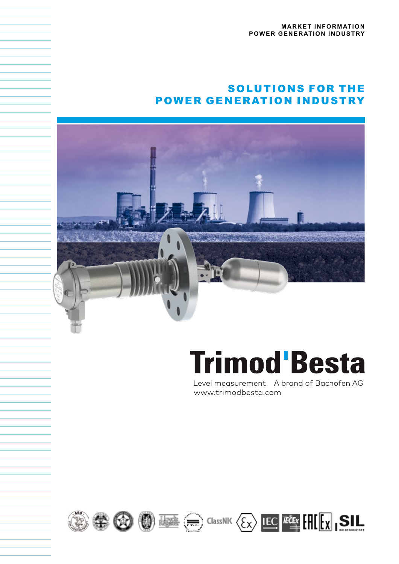# SOLUTIONS FOR THE POWER GENERATION INDUSTRY



# **Trimod Besta**

Level measurement A brand of Bachofen AG www.trimodbesta.com









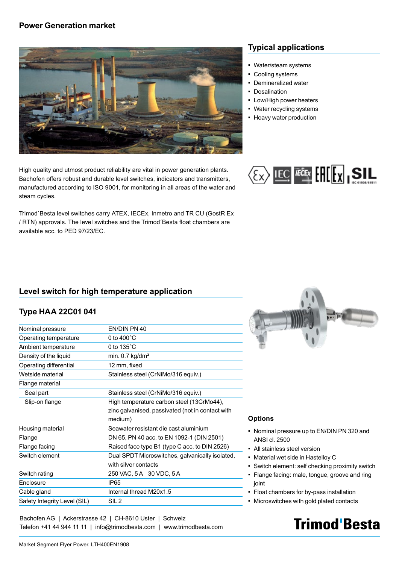#### **Power Generation market**



High quality and utmost product reliability are vital in power generation plants. Bachofen offers robust and durable level switches, indicators and transmitters, manufactured according to ISO 9001, for monitoring in all areas of the water and steam cycles.

Trimod´Besta level switches carry ATEX, IECEx, Inmetro and TR CU (GostR Ex / RTN) approvals. The level switches and the Trimod´Besta float chambers are available acc. to PED 97/23/EC.

#### **Typical applications**

- Water/steam systems
- Cooling systems
- Demineralized water
- Desalination
- **Low/High power heaters**
- Water recycling systems
- **Heavy water production**



#### **Level switch for high temperature application**

#### **Type HAA 22C01 041**

| Nominal pressure             | EN/DIN PN 40                                     |
|------------------------------|--------------------------------------------------|
| Operating temperature        | 0 to $400^{\circ}$ C                             |
| Ambient temperature          | 0 to $135^{\circ}$ C                             |
| Density of the liquid        | min. $0.7$ kg/dm <sup>3</sup>                    |
| Operating differential       | 12 mm, fixed                                     |
| Wetside material             | Stainless steel (CrNiMo/316 equiv.)              |
| Flange material              |                                                  |
| Seal part                    | Stainless steel (CrNiMo/316 equiv.)              |
| Slip-on flange               | High temperature carbon steel (13CrMo44),        |
|                              | zinc galvanised, passivated (not in contact with |
|                              | medium)                                          |
| Housing material             | Seawater resistant die cast aluminium            |
| Flange                       | DN 65, PN 40 acc. to EN 1092-1 (DIN 2501)        |
| Flange facing                | Raised face type B1 (type C acc. to DIN 2526)    |
| Switch element               | Dual SPDT Microswitches, galvanically isolated,  |
|                              | with silver contacts                             |
| Switch rating                | 250 VAC, 5 A 30 VDC, 5 A                         |
| <b>Fnclosure</b>             | <b>IP65</b>                                      |
| Cable gland                  | Internal thread M20x1.5                          |
| Safety Integrity Level (SIL) | SIL <sub>2</sub>                                 |
|                              |                                                  |



#### **Options**

- Nominal pressure up to EN/DIN PN 320 and ANSI cl. 2500
- All stainless steel version
- Material wet side in Hastelloy C
- Switch element: self checking proximity switch
- Flange facing: male, tongue, groove and ring joint
- Float chambers for by-pass installation
- Microswitches with gold plated contacts

# **Trimod'Besta**

Telefon +41 44 944 11 11 | info@trimodbesta.com | www.trimodbesta.com

Bachofen AG | Ackerstrasse 42 | CH-8610 Uster | Schweiz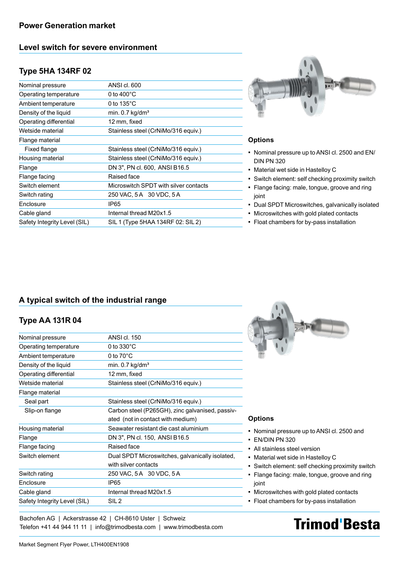# **Level switch for severe environment**

# **Type 5HA 134RF 02**

| Nominal pressure             | ANSI cl. 600                          |
|------------------------------|---------------------------------------|
| Operating temperature        | 0 to $400^{\circ}$ C                  |
| Ambient temperature          | 0 to $135^{\circ}$ C                  |
| Density of the liquid        | min. $0.7$ kg/dm <sup>3</sup>         |
| Operating differential       | 12 mm, fixed                          |
| Wetside material             | Stainless steel (CrNiMo/316 equiv.)   |
| Flange material              |                                       |
| Fixed flange                 | Stainless steel (CrNiMo/316 equiv.)   |
| Housing material             | Stainless steel (CrNiMo/316 equiv.)   |
| Flange                       | DN 3", PN cl. 600, ANSI B16.5         |
| Flange facing                | Raised face                           |
| Switch element               | Microswitch SPDT with silver contacts |
| Switch rating                | 250 VAC, 5 A 30 VDC, 5 A              |
| Enclosure                    | IP <sub>65</sub>                      |
| Cable gland                  | Internal thread M20x1.5               |
| Safety Integrity Level (SIL) | SIL 1 (Type 5HAA 134RF 02: SIL 2)     |
|                              |                                       |



#### **Options**

- Nominal pressure up to ANSI cl. 2500 and EN/ DIN PN 320
- Material wet side in Hastelloy C
- Switch element: self checking proximity switch
- Flange facing: male, tongue, groove and ring joint
- Dual SPDT Microswitches, galvanically isolated
- Microswitches with gold plated contacts
- Float chambers for by-pass installation

## **A typical switch of the industrial range**

## **Type AA 131R 04**

| Nominal pressure             | ANSI cl. 150                                    |
|------------------------------|-------------------------------------------------|
| Operating temperature        | 0 to $330^{\circ}$ C                            |
| Ambient temperature          | 0 to $70^{\circ}$ C                             |
| Density of the liquid        | min. $0.7$ kg/dm <sup>3</sup>                   |
| Operating differential       | 12 mm, fixed                                    |
| Wetside material             | Stainless steel (CrNiMo/316 equiv.)             |
| Flange material              |                                                 |
| Seal part                    | Stainless steel (CrNiMo/316 equiv.)             |
| Slip-on flange               | Carbon steel (P265GH), zinc galvanised, passiv- |
|                              | ated (not in contact with medium)               |
| Housing material             | Seawater resistant die cast aluminium           |
| Flange                       | DN 3", PN cl. 150, ANSI B16.5                   |
| Flange facing                | Raised face                                     |
| Switch element               | Dual SPDT Microswitches, galvanically isolated, |
|                              | with silver contacts                            |
| Switch rating                | 250 VAC, 5A 30 VDC, 5A                          |
| <b>Fnclosure</b>             | IP65                                            |
| Cable gland                  | Internal thread M20x1.5                         |
| Safety Integrity Level (SIL) | SIL <sub>2</sub>                                |
|                              |                                                 |



#### **Options**

- Nominal pressure up to ANSI cl. 2500 and
- EN/DIN PN 320
- All stainless steel version
- Material wet side in Hastelloy C
- Switch element: self checking proximity switch
- Flange facing: male, tongue, groove and ring joint
- Microswitches with gold plated contacts
- Float chambers for by-pass installation

# **Trimod'Besta**

Bachofen AG | Ackerstrasse 42 | CH-8610 Uster | Schweiz Telefon +41 44 944 11 11 | info@trimodbesta.com | www.trimodbesta.com